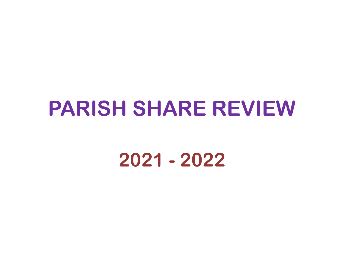#### **PARISH SHARE REVIEW**

#### **2021 - 2022**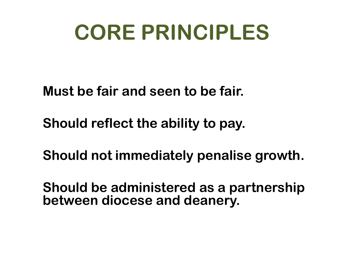## **CORE PRINCIPLES**

**Must be fair and seen to be fair.**

**Should reflect the ability to pay.**

**Should not immediately penalise growth.**

**Should be administered as a partnership between diocese and deanery.**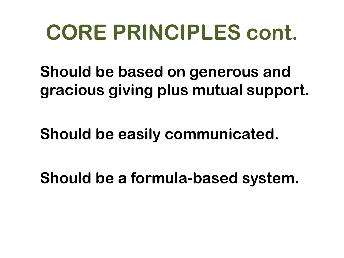## **CORE PRINCIPLES cont.**

**Should be based on generous and gracious giving plus mutual support.**

**Should be easily communicated.**

**Should be a formula-based system.**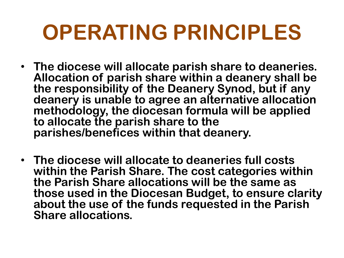## **OPERATING PRINCIPLES**

- **The diocese will allocate parish share to deaneries. Allocation of parish share within a deanery shall be the responsibility of the Deanery Synod, but if any deanery is unable to agree an alternative allocation methodology, the diocesan formula will be applied to allocate the parish share to the parishes/benefices within that deanery.**
- **The diocese will allocate to deaneries full costs within the Parish Share. The cost categories within the Parish Share allocations will be the same as those used in the Diocesan Budget, to ensure clarity about the use of the funds requested in the Parish Share allocations.**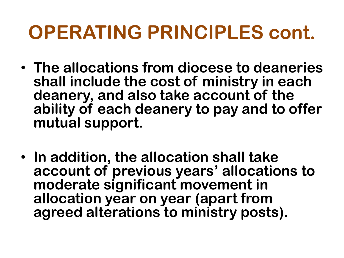- **The allocations from diocese to deaneries shall include the cost of ministry in each deanery, and also take account of the ability of each deanery to pay and to offer mutual support.**
- **In addition, the allocation shall take account of previous years' allocations to moderate significant movement in allocation year on year (apart from agreed alterations to ministry posts).**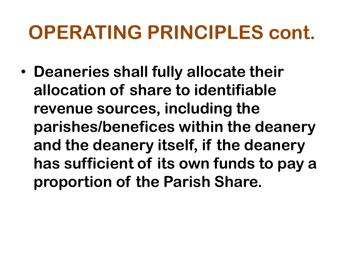• **Deaneries shall fully allocate their allocation of share to identifiable revenue sources, including the parishes/benefices within the deanery and the deanery itself, if the deanery has sufficient of its own funds to pay a proportion of the Parish Share.**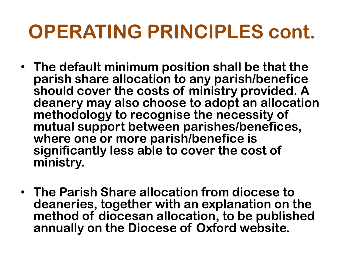- **The default minimum position shall be that the parish share allocation to any parish/benefice should cover the costs of ministry provided. A deanery may also choose to adopt an allocation methodology to recognise the necessity of mutual support between parishes/benefices, where one or more parish/benefice is significantly less able to cover the cost of ministry.**
- **The Parish Share allocation from diocese to deaneries, together with an explanation on the method of diocesan allocation, to be published annually on the Diocese of Oxford website.**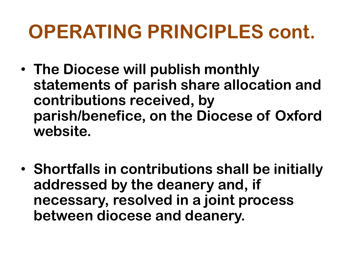- **The Diocese will publish monthly statements of parish share allocation and contributions received, by parish/benefice, on the Diocese of Oxford website.**
- **Shortfalls in contributions shall be initially addressed by the deanery and, if necessary, resolved in a joint process between diocese and deanery.**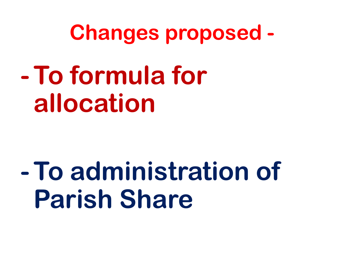#### **Changes proposed -**

# **- To formula for allocation**

# **- To administration of Parish Share**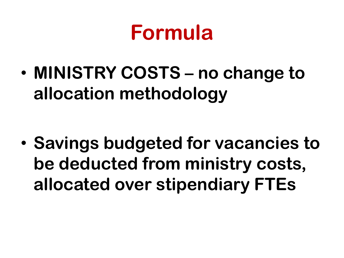#### **Formula**

• **MINISTRY COSTS – no change to allocation methodology** 

• **Savings budgeted for vacancies to be deducted from ministry costs, allocated over stipendiary FTEs**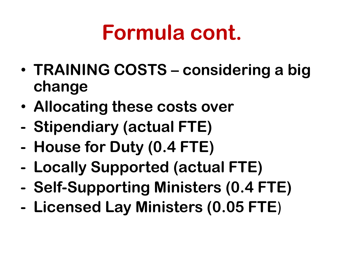- **TRAINING COSTS – considering a big change**
- **Allocating these costs over**
- **- Stipendiary (actual FTE)**
- **- House for Duty (0.4 FTE)**
- **- Locally Supported (actual FTE)**
- **- Self-Supporting Ministers (0.4 FTE)**
- **- Licensed Lay Ministers (0.05 FTE**)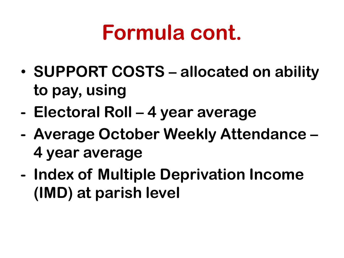- **SUPPORT COSTS – allocated on ability to pay, using**
- **- Electoral Roll – 4 year average**
- **- Average October Weekly Attendance – 4 year average**
- **- Index of Multiple Deprivation Income (IMD) at parish level**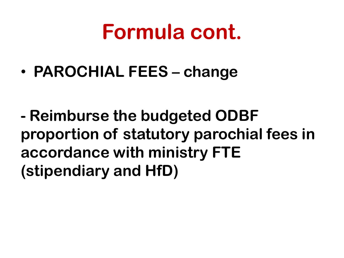• **PAROCHIAL FEES – change**

**- Reimburse the budgeted ODBF proportion of statutory parochial fees in accordance with ministry FTE (stipendiary and HfD)**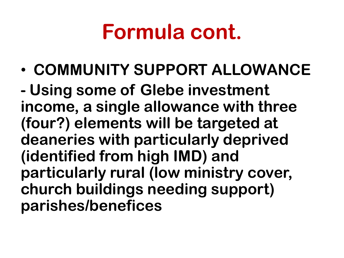• **COMMUNITY SUPPORT ALLOWANCE**

**- Using some of Glebe investment income, a single allowance with three (four?) elements will be targeted at deaneries with particularly deprived (identified from high IMD) and particularly rural (low ministry cover, church buildings needing support) parishes/benefices**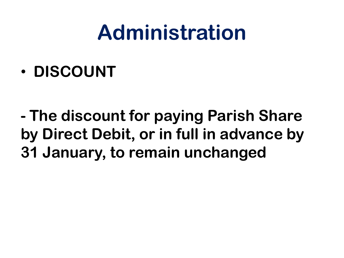#### **Administration**

• **DISCOUNT**

**- The discount for paying Parish Share by Direct Debit, or in full in advance by 31 January, to remain unchanged**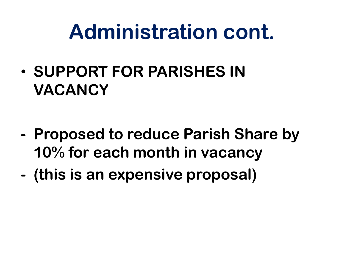• **SUPPORT FOR PARISHES IN VACANCY**

- **- Proposed to reduce Parish Share by 10% for each month in vacancy**
- **- (this is an expensive proposal)**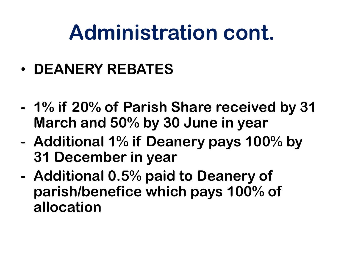- **DEANERY REBATES**
- **- 1% if 20% of Parish Share received by 31 March and 50% by 30 June in year**
- **- Additional 1% if Deanery pays 100% by 31 December in year**
- **- Additional 0.5% paid to Deanery of parish/benefice which pays 100% of allocation**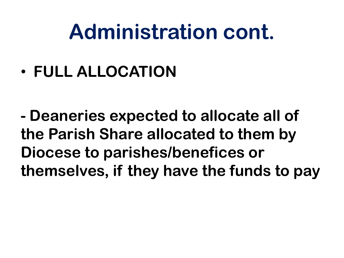• **FULL ALLOCATION**

**- Deaneries expected to allocate all of the Parish Share allocated to them by Diocese to parishes/benefices or themselves, if they have the funds to pay**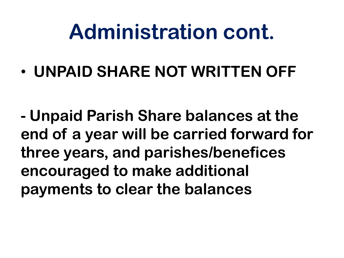• **UNPAID SHARE NOT WRITTEN OFF**

**- Unpaid Parish Share balances at the end of a year will be carried forward for three years, and parishes/benefices encouraged to make additional payments to clear the balances**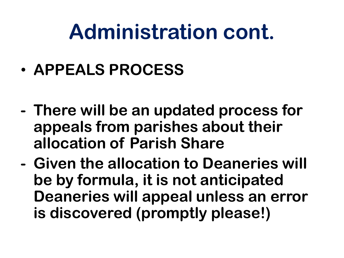- **APPEALS PROCESS**
- **- There will be an updated process for appeals from parishes about their allocation of Parish Share**
- **- Given the allocation to Deaneries will be by formula, it is not anticipated Deaneries will appeal unless an error is discovered (promptly please!)**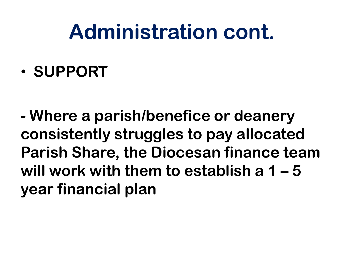• **SUPPORT**

**- Where a parish/benefice or deanery consistently struggles to pay allocated Parish Share, the Diocesan finance team will work with them to establish a 1 – 5 year financial plan**